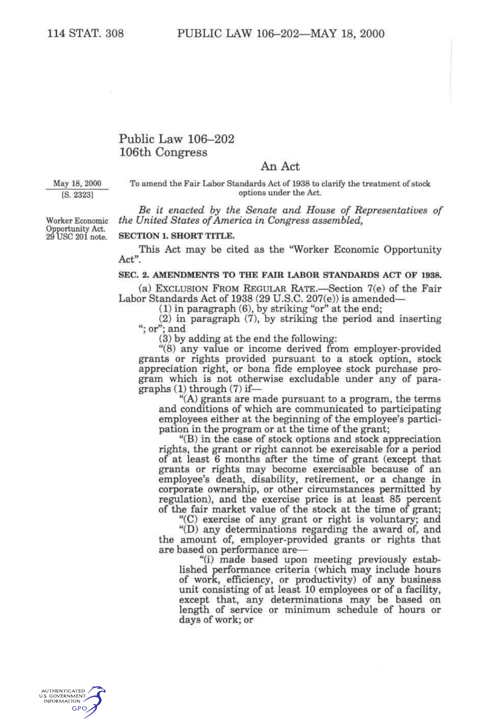# Public Law 106-202 106th Congress

## An Act

#### May 18, 2000 To amend the Fair Labor Standards Act of 1938 to clarify the treatment of stock [S. 2323] options under the Act.

Opportunity Act.

*Be it enacted by the Senate and House of Representatives of*  Worker Economic *the United States of America in Congress assembled,* 

### **SECTION 1. SHORT TITLE.**

This Act may be cited as the "Worker Economic Opportunity Act".

#### **SEC. 2. AMENDMENTS TO THE FAIR LABOR STANDARDS ACT OF 1938.**

(a) EXCLUSION FROM REGULAR RATE.—Section 7(e) of the Fair Labor Standards Act of 1938 (29 U.S.C. 207(e)) is amended—

 $(1)$  in paragraph  $(6)$ , by striking "or" at the end;

(2) in paragraph (7), by striking the period and inserting "; or"; and

(3) by adding at the end the following:

"(8) any value or income derived from employer-provided grants or rights provided pursuant to a stock option, stock appreciation right, or bona fide employee stock purchase program which is not otherwise excludable under any of paragraphs (1) through (7) if—

"(A) grants are made pursuant to a program, the terms and conditions of which are communicated to participating employees either at the beginning of the employee's participation in the program or at the time of the grant;

"(B) in the case of stock options and stock appreciation rights, the grant or right cannot be exercisable for a period of at least 6 months after the time of grant (except that grants or rights may become exercisable because of an employee's death, disability, retirement, or a change in corporate ownership, or other circumstances permitted by regulation), and the exercise price is at least 85 percent of the fair market value of the stock at the time of grant;

"(C) exercise of any grant or right is voluntary; and

"(D) any determinations regarding the award of, and the amount of, employer-provided grants or rights that are based on performance are—

"(i) made based upon meeting previously established performance criteria (which may include hours of work, efficiency, or productivity) of any business unit consisting of at least 10 employees or of a facility, except that, any determinations may be based on length of service or minimum schedule of hours or days of work; or